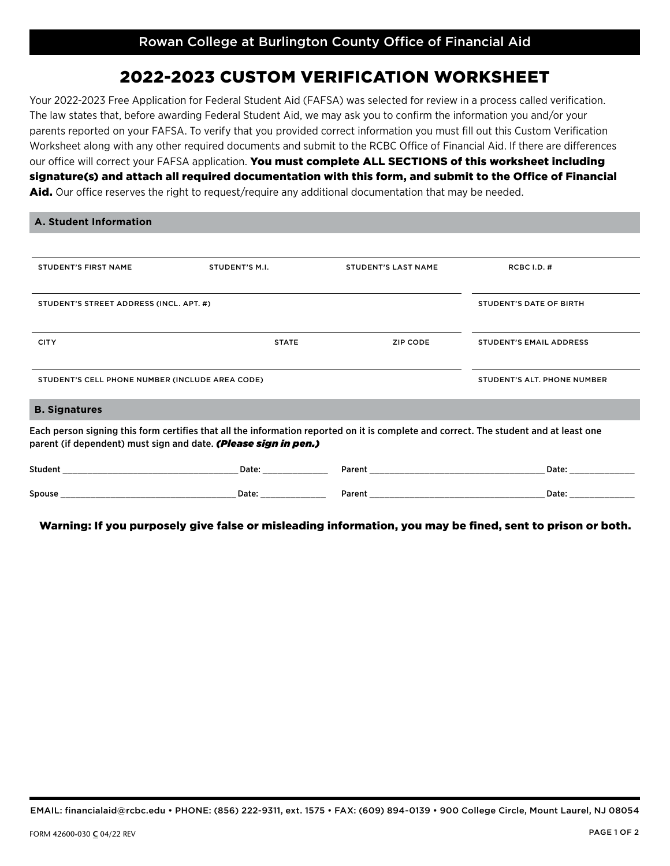## 2022-2023 CUSTOM VERIFICATION WORKSHEET

Your 2022-2023 Free Application for Federal Student Aid (FAFSA) was selected for review in a process called verification. The law states that, before awarding Federal Student Aid, we may ask you to confirm the information you and/or your parents reported on your FAFSA. To verify that you provided correct information you must fill out this Custom Verification Worksheet along with any other required documents and submit to the RCBC Office of Financial Aid. If there are differences our office will correct your FAFSA application. You must complete ALL SECTIONS of this worksheet including signature(s) and attach all required documentation with this form, and submit to the Office of Financial Aid. Our office reserves the right to request/require any additional documentation that may be needed.

| <b>A. Student Information</b>                                                                                                                                                                            |                                                                                                                                                                                                                                |                            |                                                                                                                                                                                                                                |
|----------------------------------------------------------------------------------------------------------------------------------------------------------------------------------------------------------|--------------------------------------------------------------------------------------------------------------------------------------------------------------------------------------------------------------------------------|----------------------------|--------------------------------------------------------------------------------------------------------------------------------------------------------------------------------------------------------------------------------|
|                                                                                                                                                                                                          |                                                                                                                                                                                                                                |                            |                                                                                                                                                                                                                                |
| <b>STUDENT'S FIRST NAME</b>                                                                                                                                                                              | <b>STUDENT'S M.I.</b>                                                                                                                                                                                                          | <b>STUDENT'S LAST NAME</b> | <b>RCBC I.D. #</b>                                                                                                                                                                                                             |
| STUDENT'S STREET ADDRESS (INCL. APT. #)                                                                                                                                                                  | STUDENT'S DATE OF BIRTH                                                                                                                                                                                                        |                            |                                                                                                                                                                                                                                |
| <b>CITY</b>                                                                                                                                                                                              | <b>STATE</b>                                                                                                                                                                                                                   | <b>ZIP CODE</b>            | <b>STUDENT'S EMAIL ADDRESS</b>                                                                                                                                                                                                 |
| STUDENT'S CELL PHONE NUMBER (INCLUDE AREA CODE)                                                                                                                                                          | <b>STUDENT'S ALT. PHONE NUMBER</b>                                                                                                                                                                                             |                            |                                                                                                                                                                                                                                |
| <b>B. Signatures</b>                                                                                                                                                                                     |                                                                                                                                                                                                                                |                            |                                                                                                                                                                                                                                |
| Each person signing this form certifies that all the information reported on it is complete and correct. The student and at least one<br>parent (if dependent) must sign and date. (Please sign in pen.) |                                                                                                                                                                                                                                |                            |                                                                                                                                                                                                                                |
|                                                                                                                                                                                                          | Date: the contract of the contract of the contract of the contract of the contract of the contract of the contract of the contract of the contract of the contract of the contract of the contract of the contract of the cont |                            | Date: the contract of the contract of the contract of the contract of the contract of the contract of the contract of the contract of the contract of the contract of the contract of the contract of the contract of the cont |
|                                                                                                                                                                                                          | Date: the contract of the contract of the contract of the contract of the contract of the contract of the contract of the contract of the contract of the contract of the contract of the contract of the contract of the cont |                            | Date: the contract of the contract of the contract of the contract of the contract of the contract of the contract of the contract of the contract of the contract of the contract of the contract of the contract of the cont |

Warning: If you purposely give false or misleading information, you may be fined, sent to prison or both.

EMAIL: financialaid@rcbc.edu • PHONE: (856) 222-9311, ext. 1575 • FAX: (609) 894-0139 • 900 College Circle, Mount Laurel, NJ 08054